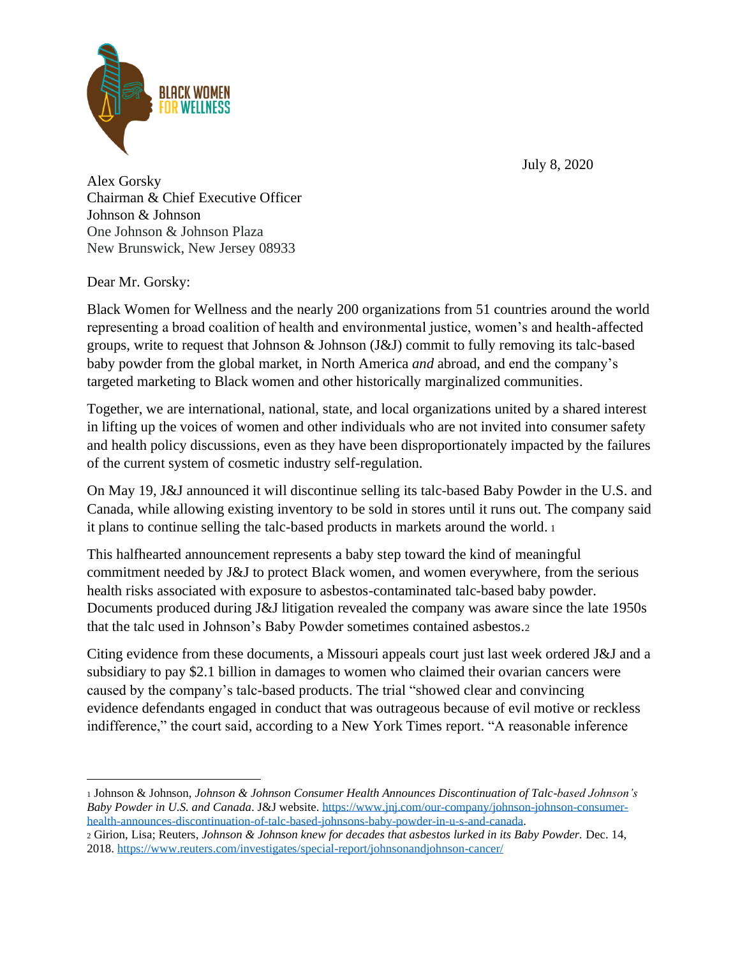July 8, 2020



Alex Gorsky Chairman & Chief Executive Officer Johnson & Johnson One Johnson & Johnson Plaza New Brunswick, New Jersey 08933

Dear Mr. Gorsky:

Black Women for Wellness and the nearly 200 organizations from 51 countries around the world representing a broad coalition of health and environmental justice, women's and health-affected groups, write to request that Johnson & Johnson (J&J) commit to fully removing its talc-based baby powder from the global market, in North America *and* abroad, and end the company's targeted marketing to Black women and other historically marginalized communities.

Together, we are international, national, state, and local organizations united by a shared interest in lifting up the voices of women and other individuals who are not invited into consumer safety and health policy discussions, even as they have been disproportionately impacted by the failures of the current system of cosmetic industry self-regulation.

On May 19, J&J announced it will discontinue selling its talc-based Baby Powder in the U.S. and Canada, while allowing existing inventory to be sold in stores until it runs out. The company said it plans to continue selling the talc-based products in markets around the world. <sup>1</sup>

This halfhearted announcement represents a baby step toward the kind of meaningful commitment needed by J&J to protect Black women, and women everywhere, from the serious health risks associated with exposure to asbestos-contaminated talc-based baby powder. Documents produced during J&J litigation revealed the company was aware since the late 1950s that the talc used in Johnson's Baby Powder sometimes contained asbestos.<sup>2</sup>

Citing evidence from these documents, a Missouri appeals court just last week ordered J&J and a subsidiary to pay \$2.1 billion in damages to women who claimed their ovarian cancers were caused by the company's talc-based products. The trial "showed clear and convincing evidence defendants engaged in conduct that was outrageous because of evil motive or reckless indifference," the court said, according to a New York Times report. "A reasonable inference

<sup>1</sup> Johnson & Johnson, *Johnson & Johnson Consumer Health Announces Discontinuation of Talc-based Johnson's Baby Powder in U.S. and Canada*. J&J website[. https://www.jnj.com/our-company/johnson-johnson-consumer](https://www.jnj.com/our-company/johnson-johnson-consumer-health-announces-discontinuation-of-talc-based-johnsons-baby-powder-in-u-s-and-canada)[health-announces-discontinuation-of-talc-based-johnsons-baby-powder-in-u-s-and-canada.](https://www.jnj.com/our-company/johnson-johnson-consumer-health-announces-discontinuation-of-talc-based-johnsons-baby-powder-in-u-s-and-canada)

<sup>2</sup> Girion, Lisa; Reuters, *Johnson & Johnson knew for decades that asbestos lurked in its Baby Powder.* Dec. 14, 2018.<https://www.reuters.com/investigates/special-report/johnsonandjohnson-cancer/>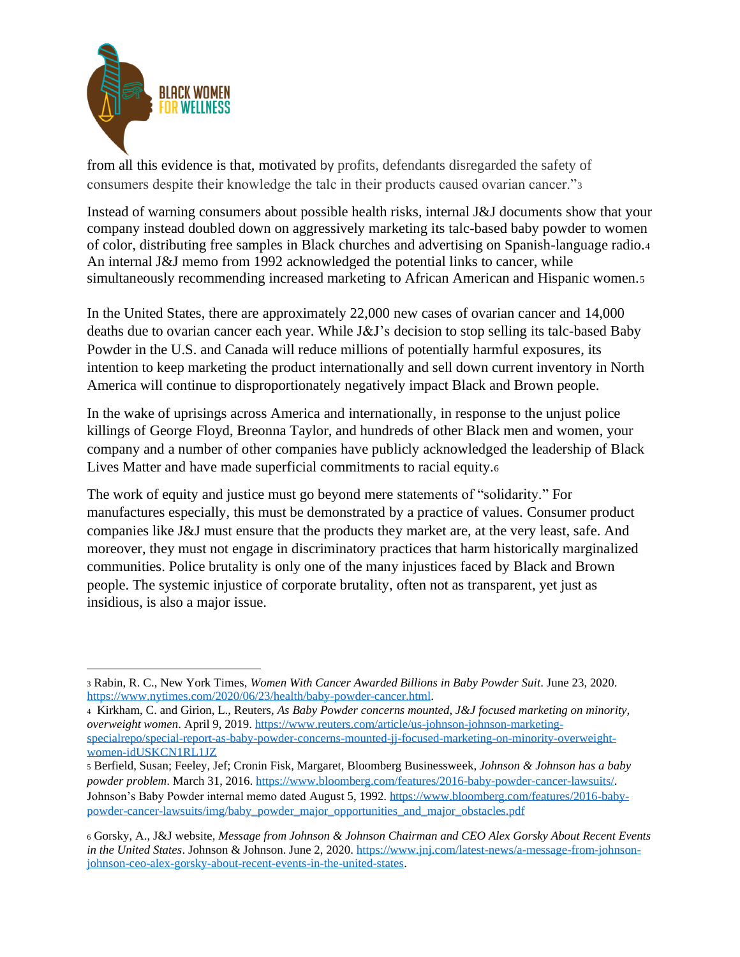

from all this evidence is that, motivated by profits, defendants disregarded the safety of consumers despite their knowledge the talc in their products caused ovarian cancer."<sup>3</sup>

Instead of warning consumers about possible health risks, internal J&J documents show that your company instead doubled down on aggressively marketing its talc-based baby powder to women of color, distributing free samples in Black churches and advertising on Spanish-language radio.<sup>4</sup> An internal J&J memo from 1992 acknowledged the potential links to cancer, while simultaneously recommending increased marketing to African American and Hispanic women.5

In the United States, there are approximately 22,000 new cases of ovarian cancer and 14,000 deaths due to ovarian cancer each year. While J&J's decision to stop selling its talc-based Baby Powder in the U.S. and Canada will reduce millions of potentially harmful exposures, its intention to keep marketing the product internationally and sell down current inventory in North America will continue to disproportionately negatively impact Black and Brown people.

In the wake of uprisings across America and internationally, in response to the unjust police killings of George Floyd, Breonna Taylor, and hundreds of other Black men and women, your company and a number of other companies have publicly acknowledged the leadership of Black Lives Matter and have made superficial commitments to racial equity.<sup>6</sup>

The work of equity and justice must go beyond mere statements of "solidarity." For manufactures especially, this must be demonstrated by a practice of values. Consumer product companies like J&J must ensure that the products they market are, at the very least, safe. And moreover, they must not engage in discriminatory practices that harm historically marginalized communities. Police brutality is only one of the many injustices faced by Black and Brown people. The systemic injustice of corporate brutality, often not as transparent, yet just as insidious, is also a major issue.

<sup>3</sup> Rabin, R. C., New York Times, *Women With Cancer Awarded Billions in Baby Powder Suit*. June 23, 2020. [https://www.nytimes.com/2020/06/23/health/baby-powder-cancer.html.](https://www.nytimes.com/2020/06/23/health/baby-powder-cancer.html)

<sup>4</sup> Kirkham, C. and Girion, L., Reuters, *As Baby Powder concerns mounted, J&J focused marketing on minority, overweight women*. April 9, 2019. [https://www.reuters.com/article/us-johnson-johnson-marketing](https://www.reuters.com/article/us-johnson-johnson-marketing-specialrepo/special-report-as-baby-powder-concerns-mounted-jj-focused-marketing-on-minority-overweight-women-idUSKCN1RL1JZ)[specialrepo/special-report-as-baby-powder-concerns-mounted-jj-focused-marketing-on-minority-overweight-](https://www.reuters.com/article/us-johnson-johnson-marketing-specialrepo/special-report-as-baby-powder-concerns-mounted-jj-focused-marketing-on-minority-overweight-women-idUSKCN1RL1JZ)

[women-idUSKCN1RL1JZ](https://www.reuters.com/article/us-johnson-johnson-marketing-specialrepo/special-report-as-baby-powder-concerns-mounted-jj-focused-marketing-on-minority-overweight-women-idUSKCN1RL1JZ)

<sup>5</sup> Berfield, Susan; Feeley, Jef; Cronin Fisk, Margaret, Bloomberg Businessweek, *Johnson & Johnson has a baby powder problem*. March 31, 2016[. https://www.bloomberg.com/features/2016-baby-powder-cancer-lawsuits/.](https://www.bloomberg.com/features/2016-baby-powder-cancer-lawsuits/) Johnson's Baby Powder internal memo dated August 5, 1992. [https://www.bloomberg.com/features/2016-baby](https://www.bloomberg.com/features/2016-baby-powder-cancer-lawsuits/img/baby_powder_major_opportunities_and_major_obstacles.pdf)[powder-cancer-lawsuits/img/baby\\_powder\\_major\\_opportunities\\_and\\_major\\_obstacles.pdf](https://www.bloomberg.com/features/2016-baby-powder-cancer-lawsuits/img/baby_powder_major_opportunities_and_major_obstacles.pdf)

<sup>6</sup> Gorsky, A., J&J website, *Message from Johnson & Johnson Chairman and CEO Alex Gorsky About Recent Events in the United States*. Johnson & Johnson. June 2, 2020. [https://www.jnj.com/latest-news/a-message-from-johnson](https://www.jnj.com/latest-news/a-message-from-johnson-johnson-ceo-alex-gorsky-about-recent-events-in-the-united-states)[johnson-ceo-alex-gorsky-about-recent-events-in-the-united-states.](https://www.jnj.com/latest-news/a-message-from-johnson-johnson-ceo-alex-gorsky-about-recent-events-in-the-united-states)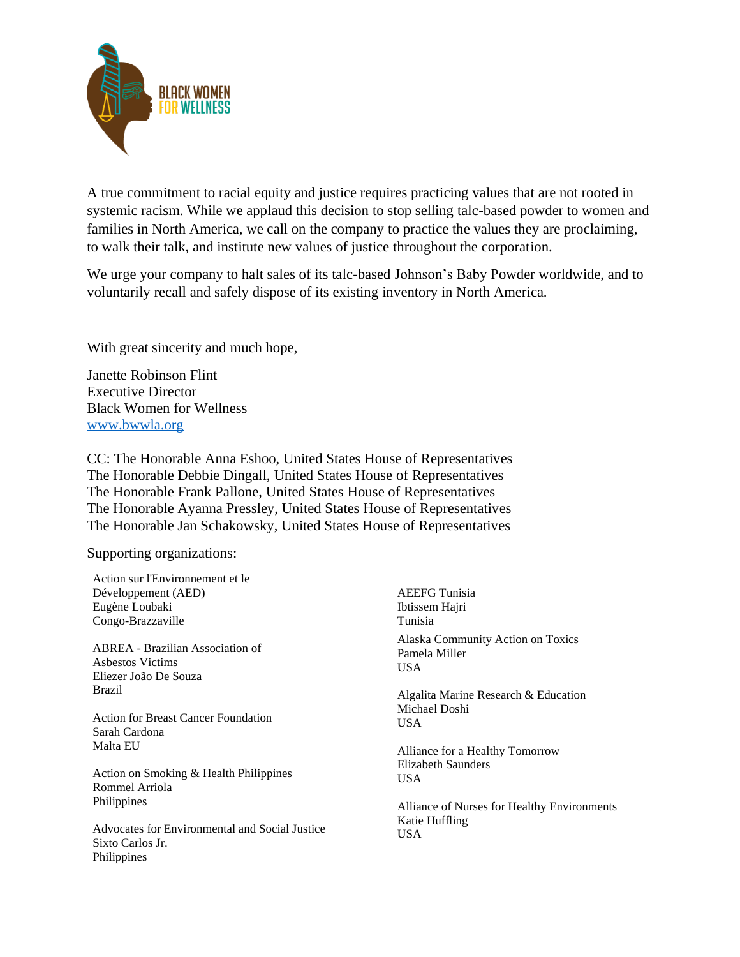

A true commitment to racial equity and justice requires practicing values that are not rooted in systemic racism. While we applaud this decision to stop selling talc-based powder to women and families in North America, we call on the company to practice the values they are proclaiming, to walk their talk, and institute new values of justice throughout the corporation.

We urge your company to halt sales of its talc-based Johnson's Baby Powder worldwide, and to voluntarily recall and safely dispose of its existing inventory in North America.

With great sincerity and much hope,

Janette Robinson Flint Executive Director Black Women for Wellness [www.bwwla.org](http://www.bwwla.org/)

CC: The Honorable Anna Eshoo, United States House of Representatives The Honorable Debbie Dingall, United States House of Representatives The Honorable Frank Pallone, United States House of Representatives The Honorable Ayanna Pressley, United States House of Representatives The Honorable Jan Schakowsky, United States House of Representatives

## Supporting organizations:

Philippines

| Action sur l'Environnement et le                                              |                                                            |
|-------------------------------------------------------------------------------|------------------------------------------------------------|
| Développement (AED)                                                           | <b>AEEFG</b> Tunisia                                       |
| Eugène Loubaki                                                                | Ibtissem Hajri                                             |
| Congo-Brazzaville                                                             | Tunisia                                                    |
| ABREA - Brazilian Association of<br>Asbestos Victims<br>Eliezer João De Souza | Alaska Community Action on Toxics<br>Pamela Miller<br>USA. |
| <b>Brazil</b>                                                                 | Algalita Marine Research & Education                       |
| Action for Breast Cancer Foundation<br>Sarah Cardona                          | Michael Doshi<br>USA.                                      |
| Malta EU                                                                      | Alliance for a Healthy Tomorrow                            |
| Action on Smoking & Health Philippines<br>Rommel Arriola                      | Elizabeth Saunders<br>USA.                                 |
| Philippines                                                                   | Alliance of Nurses for Healthy Environments                |
| Advocates for Environmental and Social Justice<br>Sixto Carlos Jr.            | Katie Huffling<br>USA.                                     |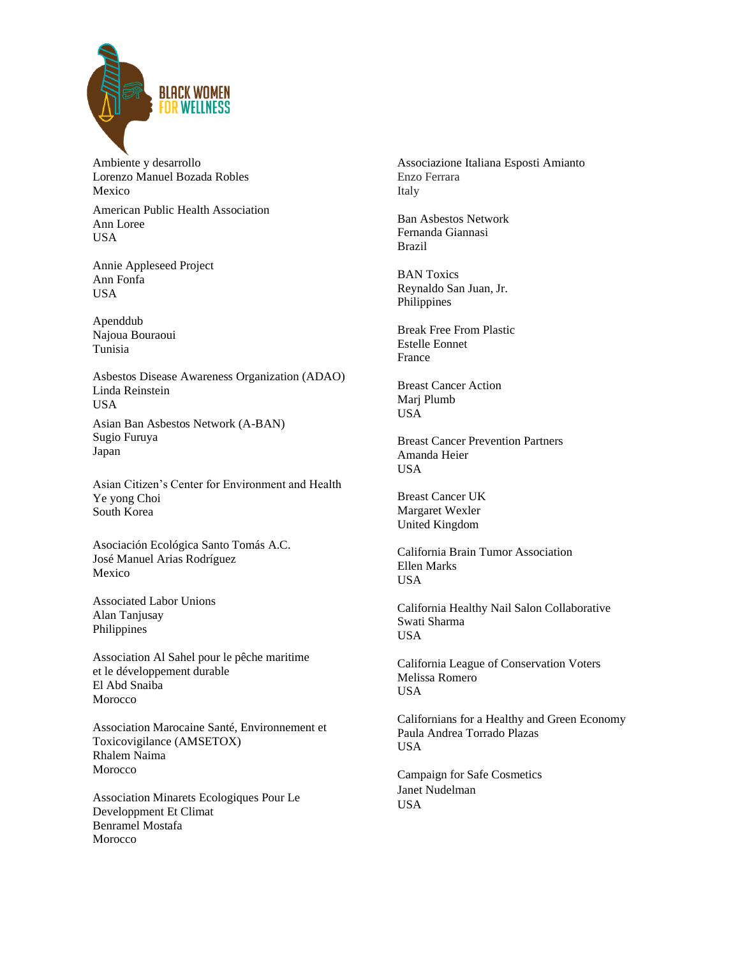

Ambiente y desarrollo Lorenzo Manuel Bozada Robles Mexico

American Public Health Association Ann Loree USA

Annie Appleseed Project Ann Fonfa USA

Apenddub Najoua Bouraoui Tunisia

Asbestos Disease Awareness Organization (ADAO) Linda Reinstein USA

Asian Ban Asbestos Network (A-BAN) Sugio Furuya Japan

Asian Citizen's Center for Environment and Health Ye yong Choi South Korea

Asociación Ecológica Santo Tomás A.C. José Manuel Arias Rodríguez Mexico

Associated Labor Unions Alan Tanjusay Philippines

Association Al Sahel pour le pêche maritime et le développement durable El Abd Snaiba Morocco

Association Marocaine Santé, Environnement et Toxicovigilance (AMSETOX) Rhalem Naima Morocco

Association Minarets Ecologiques Pour Le Developpment Et Climat Benramel Mostafa Morocco

Associazione Italiana Esposti Amianto Enzo Ferrara Italy

Ban Asbestos Network Fernanda Giannasi Brazil

BAN Toxics Reynaldo San Juan, Jr. Philippines

Break Free From Plastic Estelle Eonnet France

Breast Cancer Action Marj Plumb USA

Breast Cancer Prevention Partners Amanda Heier USA

Breast Cancer UK Margaret Wexler United Kingdom

California Brain Tumor Association Ellen Marks USA

California Healthy Nail Salon Collaborative Swati Sharma **USA** 

California League of Conservation Voters Melissa Romero USA

Californians for a Healthy and Green Economy Paula Andrea Torrado Plazas USA

Campaign for Safe Cosmetics Janet Nudelman USA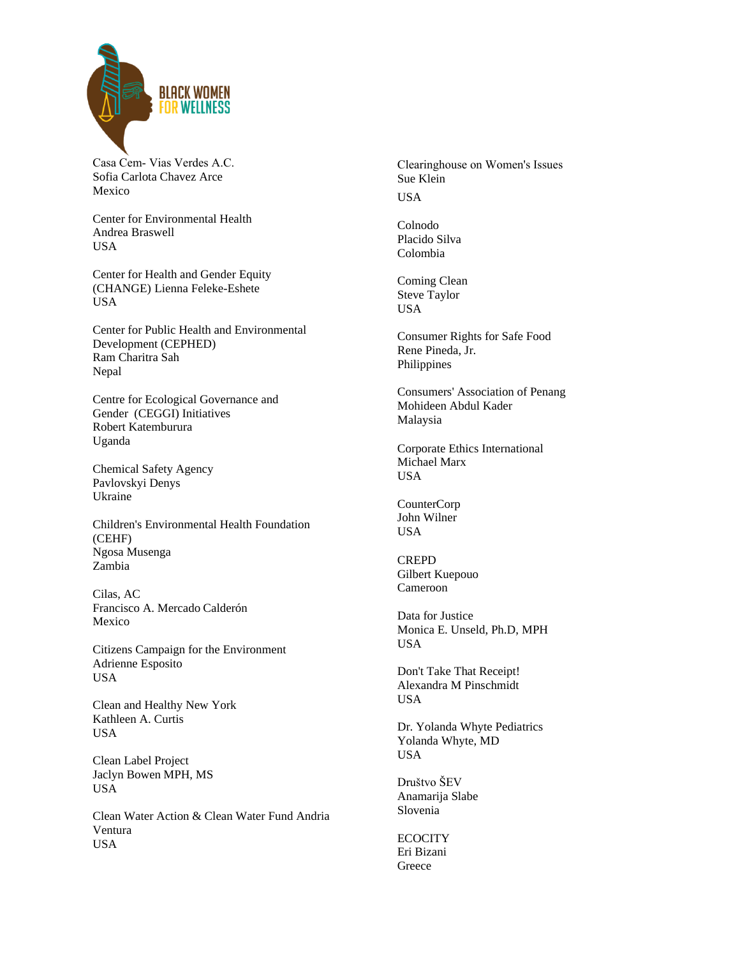

Casa Cem- Vias Verdes A.C. Sofia Carlota Chavez Arce Mexico

Center for Environmental Health Andrea Braswell USA

Center for Health and Gender Equity (CHANGE) Lienna Feleke-Eshete USA

Center for Public Health and Environmental Development (CEPHED) Ram Charitra Sah Nepal

Centre for Ecological Governance and Gender (CEGGI) Initiatives Robert Katemburura Uganda

Chemical Safety Agency Pavlovskyi Denys Ukraine

Children's Environmental Health Foundation (CEHF) Ngosa Musenga Zambia

Cilas, AC Francisco A. Mercado Calderón Mexico

Citizens Campaign for the Environment Adrienne Esposito USA

Clean and Healthy New York Kathleen A. Curtis USA

Clean Label Project Jaclyn Bowen MPH, MS USA

Clean Water Action & Clean Water Fund Andria Ventura USA

Clearinghouse on Women's Issues Sue Klein USA

Colnodo Placido Silva Colombia

Coming Clean Steve Taylor USA

Consumer Rights for Safe Food Rene Pineda, Jr. Philippines

Consumers' Association of Penang Mohideen Abdul Kader Malaysia

Corporate Ethics International Michael Marx **USA** 

CounterCorp John Wilner USA

CREPD Gilbert Kuepouo Cameroon

Data for Justice Monica E. Unseld, Ph.D, MPH USA

Don't Take That Receipt! Alexandra M Pinschmidt USA

Dr. Yolanda Whyte Pediatrics Yolanda Whyte, MD USA

Društvo ŠEV Anamarija Slabe Slovenia

**ECOCITY** Eri Bizani Greece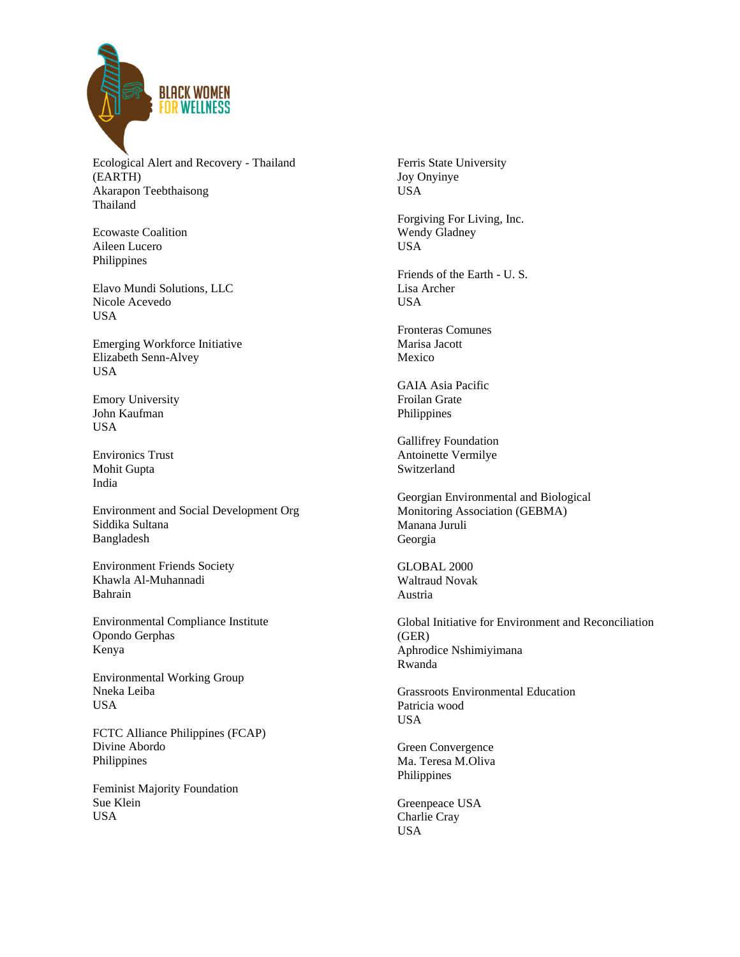

Ecological Alert and Recovery - Thailand (EARTH) Akarapon Teebthaisong Thailand

Ecowaste Coalition Aileen Lucero Philippines

Elavo Mundi Solutions, LLC Nicole Acevedo USA

Emerging Workforce Initiative Elizabeth Senn-Alvey USA

Emory University John Kaufman USA

Environics Trust Mohit Gupta India

Environment and Social Development Org Siddika Sultana Bangladesh

Environment Friends Society Khawla Al-Muhannadi Bahrain

Environmental Compliance Institute Opondo Gerphas Kenya

Environmental Working Group Nneka Leiba USA

FCTC Alliance Philippines (FCAP) Divine Abordo Philippines

Feminist Majority Foundation Sue Klein USA

Ferris State University Joy Onyinye USA

Forgiving For Living, Inc. Wendy Gladney USA

Friends of the Earth - U. S. Lisa Archer USA

Fronteras Comunes Marisa Jacott Mexico

GAIA Asia Pacific Froilan Grate Philippines

Gallifrey Foundation Antoinette Vermilye Switzerland

Georgian Environmental and Biological Monitoring Association (GEBMA) Manana Juruli Georgia

GLOBAL 2000 Waltraud Novak Austria

Global Initiative for Environment and Reconciliation (GER) Aphrodice Nshimiyimana Rwanda

Grassroots Environmental Education Patricia wood USA

Green Convergence Ma. Teresa M.Oliva Philippines

Greenpeace USA Charlie Cray USA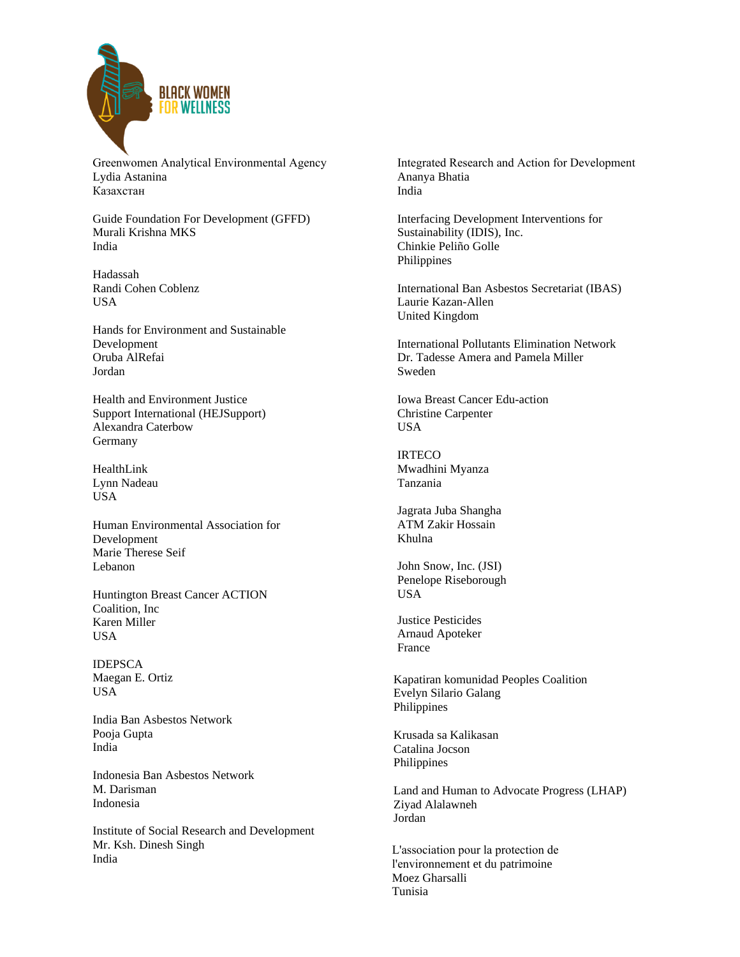

Greenwomen Analytical Environmental Agency Lydia Astanina Казахстан

Guide Foundation For Development (GFFD) Murali Krishna MKS India

Hadassah Randi Cohen Coblenz USA

Hands for Environment and Sustainable Development Oruba AlRefai Jordan

Health and Environment Justice Support International (HEJSupport) Alexandra Caterbow Germany

HealthLink Lynn Nadeau USA

Human Environmental Association for Development Marie Therese Seif Lebanon

Huntington Breast Cancer ACTION Coalition, Inc Karen Miller USA

IDEPSCA Maegan E. Ortiz USA

India Ban Asbestos Network Pooja Gupta India

Indonesia Ban Asbestos Network M. Darisman Indonesia

Institute of Social Research and Development Mr. Ksh. Dinesh Singh India

Integrated Research and Action for Development Ananya Bhatia India

Interfacing Development Interventions for Sustainability (IDIS), Inc. Chinkie Peliño Golle Philippines

International Ban Asbestos Secretariat (IBAS) Laurie Kazan-Allen United Kingdom

International Pollutants Elimination Network Dr. Tadesse Amera and Pamela Miller Sweden

Iowa Breast Cancer Edu-action Christine Carpenter USA

**IRTECO** Mwadhini Myanza Tanzania

Jagrata Juba Shangha ATM Zakir Hossain Khulna

John Snow, Inc. (JSI) Penelope Riseborough USA

Justice Pesticides Arnaud Apoteker France

Kapatiran komunidad Peoples Coalition Evelyn Silario Galang Philippines

Krusada sa Kalikasan Catalina Jocson Philippines

Land and Human to Advocate Progress (LHAP) Ziyad Alalawneh Jordan

L'association pour la protection de l'environnement et du patrimoine Moez Gharsalli Tunisia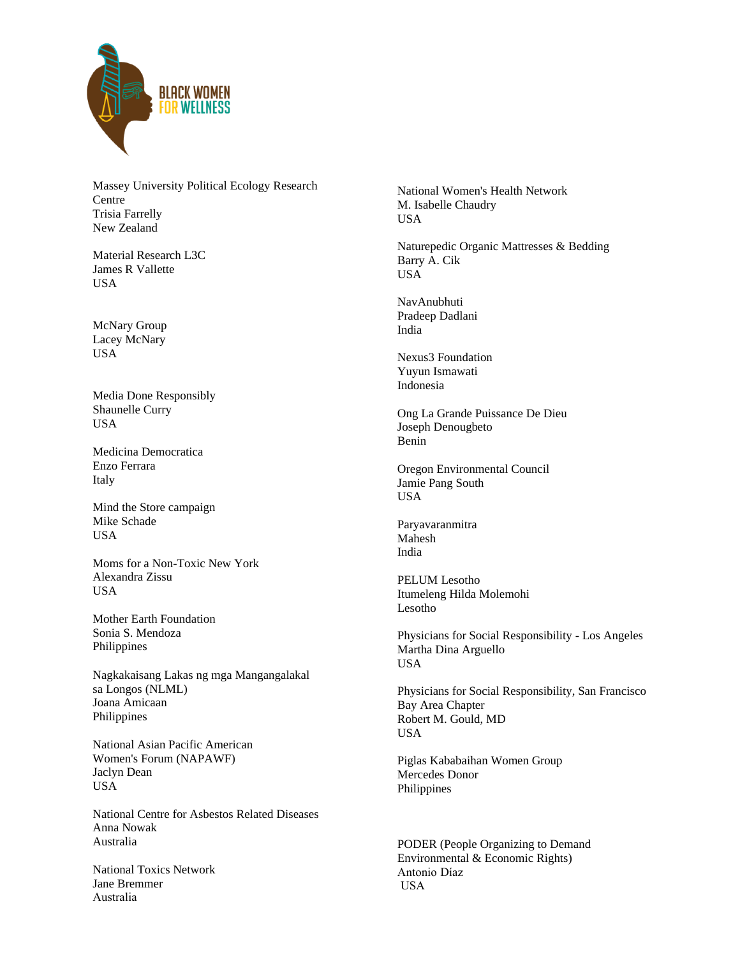

Massey University Political Ecology Research Centre Trisia Farrelly New Zealand

Material Research L3C James R Vallette USA

McNary Group Lacey McNary USA

Media Done Responsibly Shaunelle Curry USA

Medicina Democratica Enzo Ferrara Italy

Mind the Store campaign Mike Schade USA

Moms for a Non-Toxic New York Alexandra Zissu USA

Mother Earth Foundation Sonia S. Mendoza Philippines

Nagkakaisang Lakas ng mga Mangangalakal sa Longos (NLML) Joana Amicaan Philippines

National Asian Pacific American Women's Forum (NAPAWF) Jaclyn Dean USA

National Centre for Asbestos Related Diseases Anna Nowak Australia

National Toxics Network Jane Bremmer Australia

National Women's Health Network M. Isabelle Chaudry USA

Naturepedic Organic Mattresses & Bedding Barry A. Cik USA

NavAnubhuti Pradeep Dadlani India

Nexus3 Foundation Yuyun Ismawati Indonesia

Ong La Grande Puissance De Dieu Joseph Denougbeto Benin

Oregon Environmental Council Jamie Pang South USA

Paryavaranmitra Mahesh India

PELUM Lesotho Itumeleng Hilda Molemohi Lesotho

Physicians for Social Responsibility - Los Angeles Martha Dina Arguello USA

Physicians for Social Responsibility, San Francisco Bay Area Chapter Robert M. Gould, MD USA

Piglas Kababaihan Women Group Mercedes Donor Philippines

PODER (People Organizing to Demand Environmental & Economic Rights) Antonio Díaz USA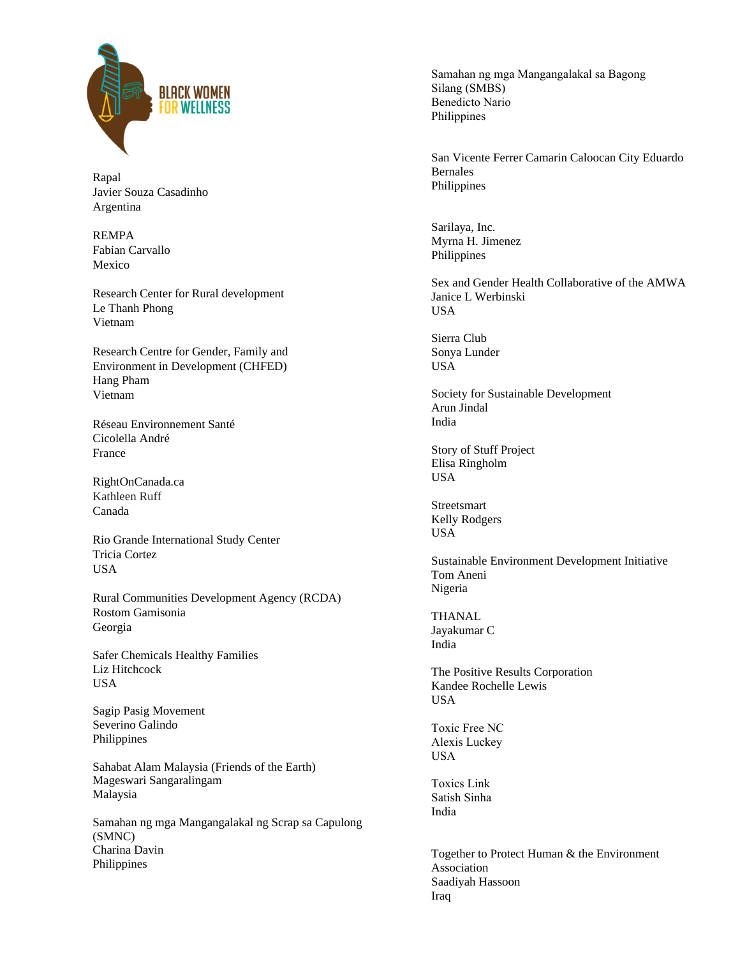

Rapal Javier Souza Casadinho Argentina

REMPA Fabian Carvallo Mexico

Research Center for Rural development Le Thanh Phong Vietnam

Research Centre for Gender, Family and Environment in Development (CHFED) Hang Pham Vietnam

Réseau Environnement Santé Cicolella André France

RightOnCanada.ca Kathleen Ruff Canada

Rio Grande International Study Center Tricia Cortez **USA** 

Rural Communities Development Agency (RCDA) Rostom Gamisonia Georgia

Safer Chemicals Healthy Families Liz Hitchcock USA

Sagip Pasig Movement Severino Galindo Philippines

Sahabat Alam Malaysia (Friends of the Earth) Mageswari Sangaralingam Malaysia

Samahan ng mga Mangangalakal ng Scrap sa Capulong (SMNC) Charina Davin Philippines

Samahan ng mga Mangangalakal sa Bagong Silang (SMBS) Benedicto Nario Philippines

San Vicente Ferrer Camarin Caloocan City Eduardo Bernales Philippines

Sarilaya, Inc. Myrna H. Jimenez Philippines

Sex and Gender Health Collaborative of the AMWA Janice L Werbinski **USA** 

Sierra Club Sonya Lunder USA

Society for Sustainable Development Arun Jindal India

Story of Stuff Project Elisa Ringholm USA

Streetsmart Kelly Rodgers USA

Sustainable Environment Development Initiative Tom Aneni Nigeria

**THANAL** Jayakumar C India

The Positive Results Corporation Kandee Rochelle Lewis USA

Toxic Free NC Alexis Luckey USA

Toxics Link Satish Sinha India

Together to Protect Human & the Environment Association Saadiyah Hassoon Iraq